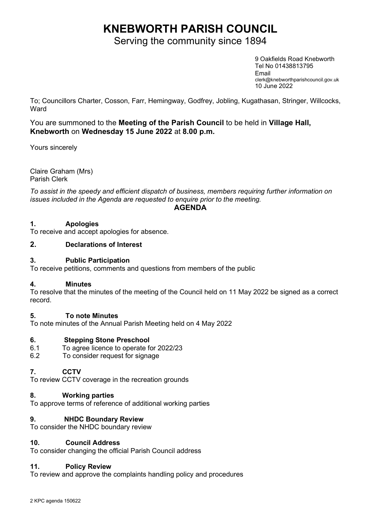# KNEBWORTH PARISH COUNCIL

Serving the community since 1894

9 Oakfields Road Knebworth Tel No 01438813795 Email clerk@knebworthparishcouncil.gov.uk 10 June 2022

To; Councillors Charter, Cosson, Farr, Hemingway, Godfrey, Jobling, Kugathasan, Stringer, Willcocks, **Ward** 

You are summoned to the Meeting of the Parish Council to be held in Village Hall, Knebworth on Wednesday 15 June 2022 at 8.00 p.m.

Yours sincerely

Claire Graham (Mrs) Parish Clerk

To assist in the speedy and efficient dispatch of business, members requiring further information on issues included in the Agenda are requested to enquire prior to the meeting.

AGENDA

## 1. Apologies

To receive and accept apologies for absence.

## 2. Declarations of Interest

## 3. Public Participation

To receive petitions, comments and questions from members of the public

#### 4. Minutes

To resolve that the minutes of the meeting of the Council held on 11 May 2022 be signed as a correct record.

## 5. To note Minutes

To note minutes of the Annual Parish Meeting held on 4 May 2022

## 6. Stepping Stone Preschool

- 6.1 To agree licence to operate for 2022/23
- 6.2 To consider request for signage

## 7. CCTV

To review CCTV coverage in the recreation grounds

## 8. Working parties

To approve terms of reference of additional working parties

## 9. NHDC Boundary Review

To consider the NHDC boundary review

#### 10. Council Address

To consider changing the official Parish Council address

#### 11. Policy Review

To review and approve the complaints handling policy and procedures